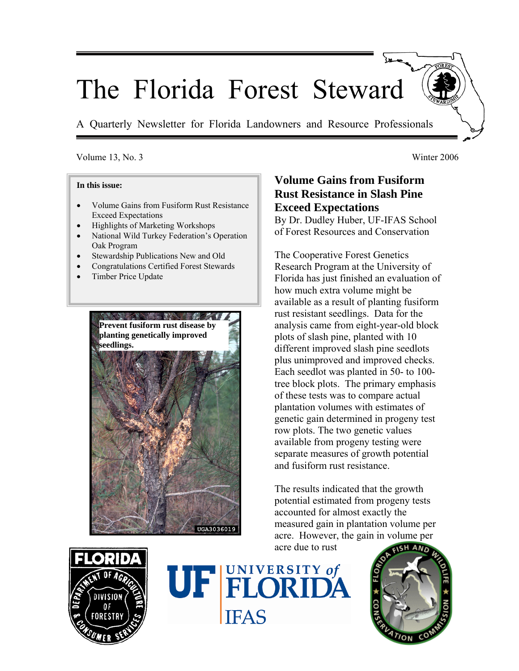# The Florida Forest Steward

A Quarterly Newsletter for Florida Landowners and Resource Professionals

#### Volume 13, No. 3 Winter 2006

#### **In this issue:**

- Volume Gains from Fusiform Rust Resistance Exceed Expectations
- Highlights of Marketing Workshops
- National Wild Turkey Federation's Operation Oak Program
- Stewardship Publications New and Old
- Congratulations Certified Forest Stewards
- Timber Price Update

The company of the company of the company of the company of the company of the company of the company of the company of the company of the company of the company of the company of the company of the company of the company **Prevent fusiform rust disease by planting genetically improved seedlings.** 



# **Volume Gains from Fusiform Rust Resistance in Slash Pine Exceed Expectations**

By Dr. Dudley Huber, UF-IFAS School of Forest Resources and Conservation

The Cooperative Forest Genetics Research Program at the University of Florida has just finished an evaluation of how much extra volume might be available as a result of planting fusiform rust resistant seedlings. Data for the analysis came from eight-year-old block plots of slash pine, planted with 10 different improved slash pine seedlots plus unimproved and improved checks. Each seedlot was planted in 50- to 100 tree block plots. The primary emphasis of these tests was to compare actual plantation volumes with estimates of genetic gain determined in progeny test row plots. The two genetic values available from progeny testing were separate measures of growth potential and fusiform rust resistance.

The results indicated that the growth potential estimated from progeny tests accounted for almost exactly the measured gain in plantation volume per acre. However, the g ain in volume per acre due to rust





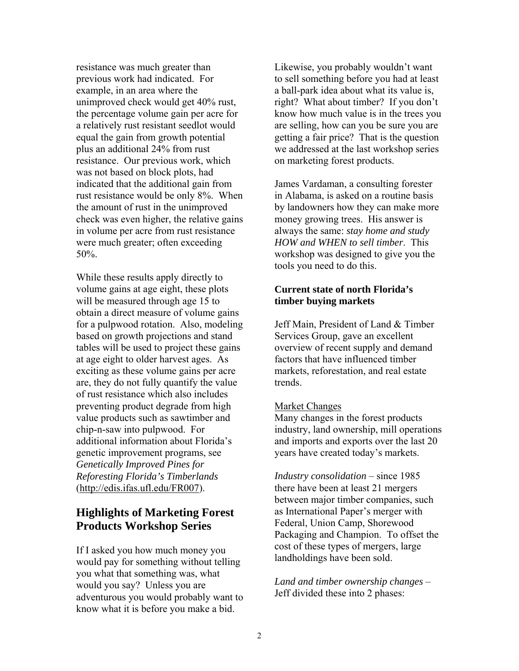resistance was much greater than previous work had indicated. Fo r example, in an area where the unimproved check would get 40% rust, the percentage volume gain per acre fo r a relatively rust resistant seedlot woul d equal the gain from growth potentia l plus an additional 24% from rust resistance. Our previous work, which was not based on block plots, had indicated that the additional gain from rust resistance would be only 8%. When the amount of rust in the unimproved check was even higher, the relative gains in volume per acre from rust resistance were much greater; often exceeding 50%.

While these results apply directly to volume gains at age eight, these plots will be measured through age 15 to obtain a direct measure of volume gains for a pulpwood rotation. Also, modeling based on growth projections and stand tables will be used to project these gains at age eight to older harvest ages. As exciting as these volume gains per acre are, they do not fully quantify the value of rust resistance which also includes preventing product degrade from high value products such as sawtimber and chip-n-saw into pulpwood. For additional information about Florida's genetic improvement programs, see *Genetically Improved Pines for Reforesting Florida's Timberlands*  (http://edis.ifas.ufl.edu/FR007).

## **Highlights of Marketing Forest Products Workshop Series**

If I asked you how much money you would pay for something without telling you what that something was, what would you say? Unless you are adventurous you would probably want to know what it is before you make a bid.

Likewise, you probably wouldn't want to sell something before you had at least a ball-park idea about what its value is, right? What about timber? If you don't know how much value is in the trees you are selling, how can you be sure you are getting a fair price? That is the question we addressed at the last workshop series on marketing forest products.

James Vardaman, a consulting forester in Alabama, is asked on a routine basis by landowners how they can make more money growing trees. His answer is always the same: *stay home and study HOW and WHEN to sell timber*. This workshop was designed to give you the tools you need to do this.

#### **Current state of north Florida's timber buying markets**

Jeff Main, President of Land & Timber Services Group, gave an excellent overview of recent supply and demand factors that have influenced timber markets, reforestation, and real estate trends.

#### Market Changes

Many changes in the forest products industry, land ownership, mill operations and imports and exports over the last 20 years have created today's markets.

*Industry consolidation* – since 1985 there have been at least 21 mergers between major timber companies, such as International Paper's merger with Federal, Union Camp, Shorewood Packaging and Champion. To offset the cost of these types of mergers, large landholdings have been sold.

*Land and timber ownership changes* – Jeff divided these into 2 phases: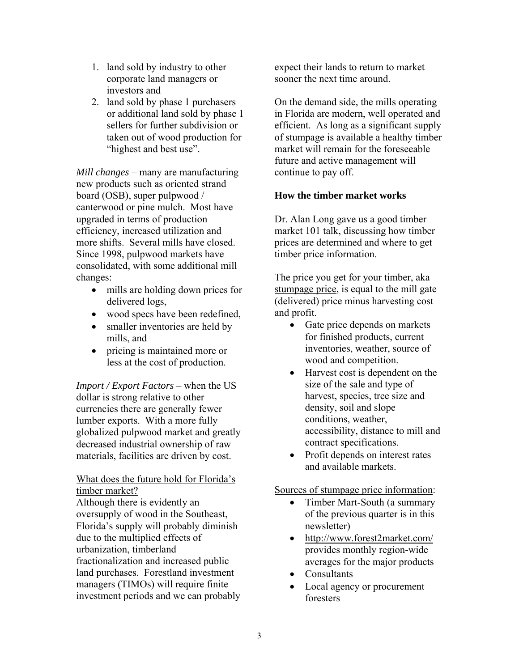- 1. land sold by industry to other corporate land managers or investors and
- 2. land sold by phase 1 purchasers or additional land sold by phase 1 sellers for further subdivision or taken out of wood production for "highest and best use".

*Mill changes* – many are manufacturing new products such as oriented strand board (OSB), super pulpwood / canterwood or pine mulch. Most have upgraded in terms of production efficiency, increased utilization and more shifts. Several mills have closed. Since 1998, pulpwood markets have consolidated, with some additional mill changes:

- mills are holding down prices for delivered logs,
- wood specs have been redefined,
- smaller inventories are held by mills, and
- pricing is maintained more or less at the cost of production.

*Import / Export Factors* – when the US dollar is strong relative to other currencies there are generally fewer lumber exports. With a more fully globalized pulpwood market and greatly decreased industrial ownership of raw materials, facilities are driven by cost.

## What does the future hold for Florida's timber market?

Although there is evidently an oversupply of wood in the Southeast, Florida's supply will probably diminish due to the multiplied effects of urbanization, timberland fractionalization and increased public land purchases. Forestland investment managers (TIMOs) will require finite investment periods and we can probably expect their lands to return to market sooner the next time around.

On the demand side, the mills operating in Florida are modern, well operated and efficient. As long as a significant supply of stumpage is available a healthy timber market will remain for the foreseeable future and active management will continue to pay off.

## **How the timber market works**

Dr. Alan Long gave us a good timber market 101 talk, discussing how timber prices are determined and where to get timber price information.

The price you get for your timber, aka stumpage price, is equal to the mill gate (delivered) price minus harvesting cost and profit.

- Gate price depends on markets for finished products, current inventories, weather, source of wood and competition.
- Harvest cost is dependent on the size of the sale and type of harvest, species, tree size and density, soil and slope conditions, weather, accessibility, distance to mill and contract specifications.
- Profit depends on interest rates and available markets.

### Sources of stumpage price information:

- Timber Mart-South (a summary of the previous quarter is in this newsletter)
- http://www.forest2market.com/ provides monthly region-wide averages for the major products
- Consultants
- Local agency or procurement foresters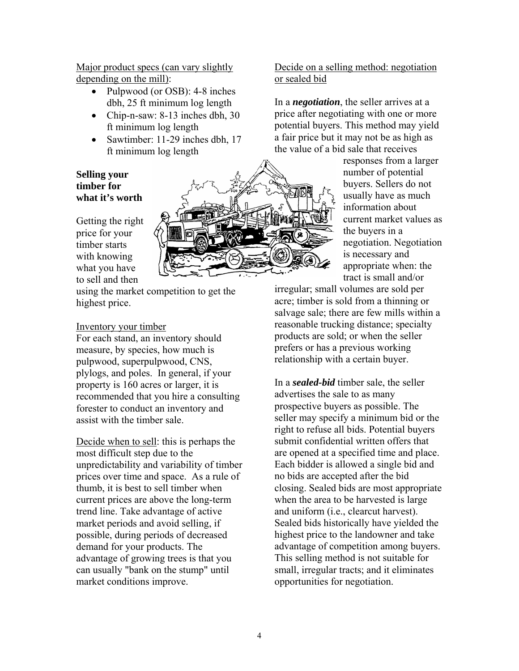Major product specs (can vary slightly depending on the mill):

- Pulpwood (or OSB): 4-8 inches dbh, 25 ft minimum log length
- Chip-n-saw: 8-13 inches dbh, 30 ft minimum log length
- Sawtimber: 11-29 inches dbh, 17 ft minimum log length

#### **Selling your timber for what it's worth**

Getting the right price for your timber starts with knowing what you have to sell and then

using the market competition to get the highest price.

### Inventory your timber

For each stand, an inventory should measure, by species, how much is pulpwood, superpulpwood, CNS, plylogs, and poles. In general, if your property is 160 acres or larger, it is recommended that you hire a consulting forester to conduct an inventory and assist with the timber sale.

Decide when to sell: this is perhaps the most difficult step due to the unpredictability and variability of timber prices over time and space. As a rule of thumb, it is best to sell timber when current prices are above the long-term trend line. Take advantage of active market periods and avoid selling, if possible, during periods of decreased demand for your products. The advantage of growing trees is that you can usually "bank on the stump" until market conditions improve.

#### Decide on a selling method: negotiation or sealed bid

In a *negotiation*, the seller arrives at a price after negotiating with one or more potential buyers. This method may yield a fair price but it may not be as high as the value of a bid sale that receives

> responses from a larger number of potential buyers. Sellers do not usually have as much information about current market values a s the buyers in a negotiation. N egotiation is necessary and appropriate wh en: the tract is small and/or

irregular; small volumes are sold per acre; timber is sold from a thinning or salvage sale; there are few mills within a reasonable trucking distance; specialty products are sold; or when the seller prefers or has a previous working relationship with a certain buyer.

In a **sealed-bid** timber sale, the seller prospective buyers as possible. The seller may specify a minimum bid or the are opened at a specified time and place. closing. Sealed bids are most appropriate Sealed bids historically have yielded the advertises the sale to as many right to refuse all bids. Potential buyers submit confidential written offers that Each bidder is allowed a single bid and no bids are accepted after the bid when the area to be harvested is large and uniform (i.e., clearcut harvest). highest price to the landowner and take advantage of competition among buyers. This selling method is not suitable for small, irregular tracts; and it eliminates opportunities for negotiation.

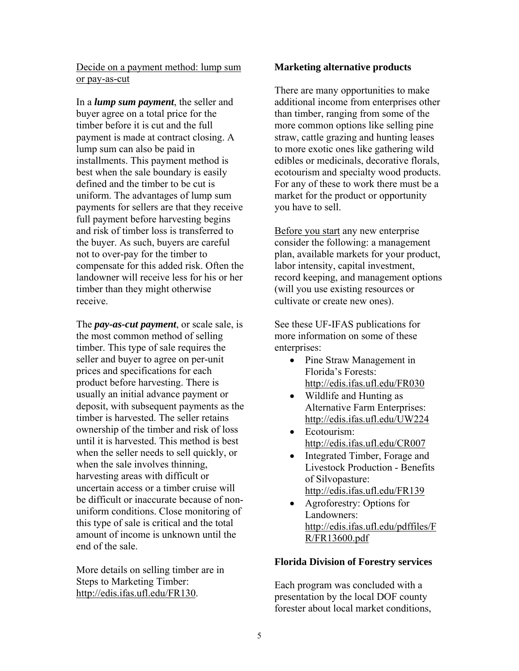Decide on a payment method: lump sum or pay-as-cut

In a *lump sum payment*, the seller and buyer agree on a total price for the timber before it is cut and the full payment is made at contract closing. A lump sum can also be paid in installments. This payment method is best when the sale boundary is easily defined and the timber to be cut is uniform. The advantages of lump sum payments for sellers are that they receive full payment before harvesting begins and risk of timber loss is transferred to the buyer. As such, buyers are careful not to over-pay for the timber to compensate for this added risk. Often the landowner will receive less for his or her timber than they might otherwise receive.

The *pay-as-cut payment*, or scale sale, is the most common method of selling timber. This type of sale requires the seller and buyer to agree on per-unit prices and specifications for each product before harvesting. There is usually an initial advance payment or deposit, with subsequent payments as the timber is harvested. The seller retains ownership of the timber and risk of loss until it is harvested. This method is best when the seller needs to sell quickly, or when the sale involves thinning, harvesting areas with difficult or uncertain access or a timber cruise will be difficult or inaccurate because of nonuniform conditions. Close monitoring of this type of sale is critical and the total amount of income is unknown until the end of the sale.

More details on selling timber are in Steps to Marketing Timber: http://edis.ifas.ufl.edu/FR130.

#### **Marketing alternative products**

There are many opportunities to make additional income from enterprises other than timber, ranging from some of the more common options like selling pine straw, cattle grazing and hunting leases to more exotic ones like gathering wild edibles or medicinals, decorative florals, ecotourism and specialty wood products. For any of these to work there must be a market for the product or opportunity you have to sell.

Before you start any new enterprise consider the following: a management plan, available markets for your product, labor intensity, capital investment, record keeping, and management options (will you use existing resources or cultivate or create new ones).

See these UF-IFAS publications for more information on some of these enterprises:

- Pine Straw Management in Florida's Forests: http://edis.ifas.ufl.edu/FR030
- Wildlife and Hunting as Alternative Farm Enterprises: http://edis.ifas.ufl.edu/UW224
- Ecotourism: http://edis.ifas.ufl.edu/CR007
- Integrated Timber, Forage and Livestock Production - Benefits of Silvopasture: http://edis.ifas.ufl.edu/FR139
- Agroforestry: Options for Landowners: http://edis.ifas.ufl.edu/pdffiles/F R/FR13600.pdf

#### **Florida Division of Forestry services**

Each program was concluded with a presentation by the local DOF county forester about local market conditions,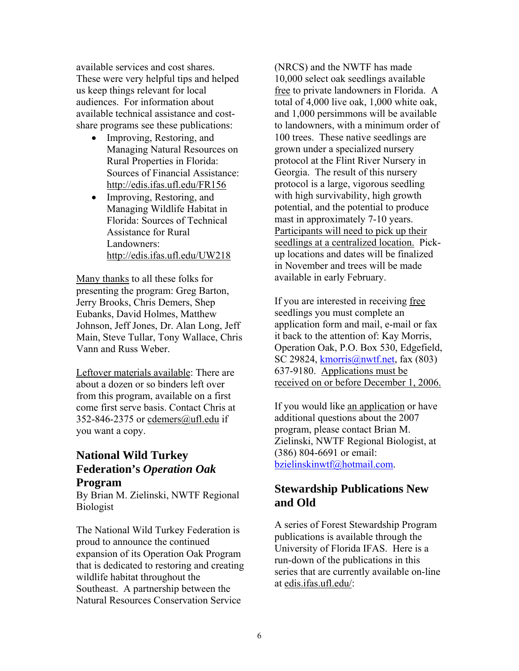available services and cost shares. These were very helpful tips and helped us keep things relevant for local audiences. For information about available technical assistance and costshare programs see these publications:

- Improving, Restoring, and Managing Natural Resources on Rural Properties in Florida: Sources of Financial Assistance: http://edis.ifas.ufl.edu/FR156
- Improving, Restoring, and Managing Wildlife Habitat in Florida: Sources of Technical Assistance for Rural Landowners<sup>-</sup> http://edis.ifas.ufl.edu/UW218

Many thanks to all these folks for presenting the program: Greg Barton, Jerry Brooks, Chris Demers, Shep Eubanks, David Holmes, Matthew Johnson, Jeff Jones, Dr. Alan Long, Jeff Main, Steve Tullar, Tony Wallace, Chris Vann and Russ Weber.

Leftover materials available: There are about a dozen or so binders left over from this program, available on a first come first serve basis. Contact Chris at 352-846-2375 or cdemers@ufl.edu if you want a copy.

## **National Wild Turkey Federation's** *Operation Oak* **Program**

By Brian M. Zielinski, NWTF Regional Biologist

The National Wild Turkey Federation is proud to announce the continued expansion of its Operation Oak Program that is dedicated to restoring and creating wildlife habitat throughout the Southeast. A partnership between the Natural Resources Conservation Service

(NRCS) and the NWTF has made 10,000 select oak seedlings available free to private landowners in Florida. A total of 4,000 live oak, 1,000 white oak, and 1,000 persimmons will be available to landowners, with a minimum order of 100 trees. These native seedlings are grown under a specialized nursery protocol at the Flint River Nursery in Georgia. The result of this nursery protocol is a large, vigorous seedling with high survivability, high growth potential, and the potential to produce mast in approximately 7-10 years. Participants will need to pick up their seedlings at a centralized location. Pickup locations and dates will be finalized in November and trees will be made available in early February.

If you are interested in receiving free seedlings you must complete an application form and mail, e-mail or fax it back to the attention of: Kay Morris, Operation Oak, P.O. Box 530, Edgefield, SC 29824, [kmorris@nwtf.net,](mailto:KMORRIS@NWTF.NET) fax (803) 637-9180. Applications must be received on or before December 1, 2006.

If you would like an application or have additional questions about the 2007 program, please contact Brian M. Zielinski, NWTF Regional Biologist, at (386) 804-6691 or email: [bzielinskinwtf@hotmail.com.](mailto:bzielinskinwtf@hotmail.com)

## **Stewardship Publications New and Old**

A series of Forest Stewardship Program publications is available through the University of Florida IFAS. Here is a run-down of the publications in this series that are currently available on-line at edis.ifas.ufl.edu/: